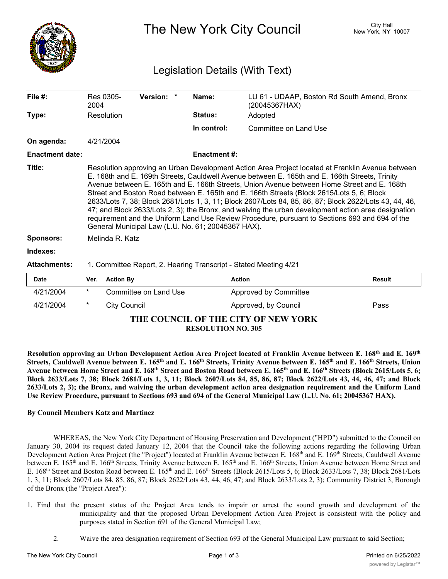

The New York City Council New York, NY 10007

## Legislation Details (With Text)

| File $#$ :             | Res 0305-<br>2004                                                                                                                                                                                                                                                                                                                                                                                                                                                                                                                                                                                                                                                                                                                                                       | <b>Version:</b> | Name:               | LU 61 - UDAAP, Boston Rd South Amend, Bronx<br>(20045367HAX) |  |  |  |
|------------------------|-------------------------------------------------------------------------------------------------------------------------------------------------------------------------------------------------------------------------------------------------------------------------------------------------------------------------------------------------------------------------------------------------------------------------------------------------------------------------------------------------------------------------------------------------------------------------------------------------------------------------------------------------------------------------------------------------------------------------------------------------------------------------|-----------------|---------------------|--------------------------------------------------------------|--|--|--|
| Type:                  | Resolution                                                                                                                                                                                                                                                                                                                                                                                                                                                                                                                                                                                                                                                                                                                                                              |                 | <b>Status:</b>      | Adopted                                                      |  |  |  |
|                        |                                                                                                                                                                                                                                                                                                                                                                                                                                                                                                                                                                                                                                                                                                                                                                         |                 | In control:         | Committee on Land Use                                        |  |  |  |
| On agenda:             | 4/21/2004                                                                                                                                                                                                                                                                                                                                                                                                                                                                                                                                                                                                                                                                                                                                                               |                 |                     |                                                              |  |  |  |
| <b>Enactment date:</b> |                                                                                                                                                                                                                                                                                                                                                                                                                                                                                                                                                                                                                                                                                                                                                                         |                 | <b>Enactment #:</b> |                                                              |  |  |  |
| Title:                 | Resolution approving an Urban Development Action Area Project located at Franklin Avenue between<br>E. 168th and E. 169th Streets, Cauldwell Avenue between E. 165th and E. 166th Streets, Trinity<br>Avenue between E. 165th and E. 166th Streets, Union Avenue between Home Street and E. 168th<br>Street and Boston Road between E. 165th and E. 166th Streets (Block 2615/Lots 5, 6; Block<br>2633/Lots 7, 38; Block 2681/Lots 1, 3, 11; Block 2607/Lots 84, 85, 86, 87; Block 2622/Lots 43, 44, 46,<br>47; and Block 2633/Lots 2, 3); the Bronx, and waiving the urban development action area designation<br>requirement and the Uniform Land Use Review Procedure, pursuant to Sections 693 and 694 of the<br>General Municipal Law (L.U. No. 61; 20045367 HAX). |                 |                     |                                                              |  |  |  |
| <b>Sponsors:</b>       | Melinda R. Katz                                                                                                                                                                                                                                                                                                                                                                                                                                                                                                                                                                                                                                                                                                                                                         |                 |                     |                                                              |  |  |  |
| Indexes:               |                                                                                                                                                                                                                                                                                                                                                                                                                                                                                                                                                                                                                                                                                                                                                                         |                 |                     |                                                              |  |  |  |
| <b>Attachments:</b>    | 1. Committee Report, 2. Hearing Transcript - Stated Meeting 4/21                                                                                                                                                                                                                                                                                                                                                                                                                                                                                                                                                                                                                                                                                                        |                 |                     |                                                              |  |  |  |

| <b>Date</b>                         | Ver.   | <b>Action By</b>      | <b>Action</b>         | Result |  |  |  |
|-------------------------------------|--------|-----------------------|-----------------------|--------|--|--|--|
| 4/21/2004                           | $\ast$ | Committee on Land Use | Approved by Committee |        |  |  |  |
| 4/21/2004                           | *      | City Council          | Approved, by Council  | Pass   |  |  |  |
| THE COUNCIL OF THE CITY OF NEW VONT |        |                       |                       |        |  |  |  |

## **THE COUNCIL OF THE CITY OF NEW YORK RESOLUTION NO. 305**

Resolution approving an Urban Development Action Area Project located at Franklin Avenue between E. 168<sup>th</sup> and E. 169<sup>th</sup> Streets, Cauldwell Avenue between E. 165<sup>th</sup> and E. 166<sup>th</sup> Streets, Trinity Avenue between E. 165<sup>th</sup> and E. 166<sup>th</sup> Streets, Union Avenue between Home Street and E. 168<sup>th</sup> Street and Boston Road between E. 165<sup>th</sup> and E. 166<sup>th</sup> Streets (Block 2615/Lots 5, 6; Block 2633/Lots 7, 38; Block 2681/Lots 1, 3, 11; Block 2607/Lots 84, 85, 86, 87; Block 2622/Lots 43, 44, 46, 47; and Block 2633/Lots 2, 3); the Bronx, and waiving the urban development action area designation requirement and the Uniform Land **Use Review Procedure, pursuant to Sections 693 and 694 of the General Municipal Law (L.U. No. 61; 20045367 HAX).**

## **By Council Members Katz and Martinez**

WHEREAS, the New York City Department of Housing Preservation and Development ("HPD") submitted to the Council on January 30, 2004 its request dated January 12, 2004 that the Council take the following actions regarding the following Urban Development Action Area Project (the "Project") located at Franklin Avenue between E. 168<sup>th</sup> and E. 169<sup>th</sup> Streets, Cauldwell Avenue between E. 165<sup>th</sup> and E. 166<sup>th</sup> Streets, Trinity Avenue between E. 165<sup>th</sup> and E. 166<sup>th</sup> Streets, Union Avenue between Home Street and E. 168<sup>th</sup> Street and Boston Road between E. 165<sup>th</sup> and E. 166<sup>th</sup> Streets (Block 2615/Lots 5, 6; Block 2633/Lots 7, 38; Block 2681/Lots 1, 3, 11; Block 2607/Lots 84, 85, 86, 87; Block 2622/Lots 43, 44, 46, 47; and Block 2633/Lots 2, 3); Community District 3, Borough of the Bronx (the "Project Area"):

- 1. Find that the present status of the Project Area tends to impair or arrest the sound growth and development of the municipality and that the proposed Urban Development Action Area Project is consistent with the policy and purposes stated in Section 691 of the General Municipal Law;
	- 2. Waive the area designation requirement of Section 693 of the General Municipal Law pursuant to said Section;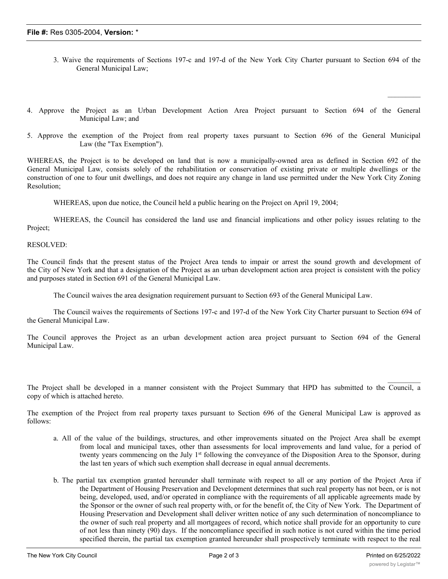- 3. Waive the requirements of Sections 197-c and 197-d of the New York City Charter pursuant to Section 694 of the General Municipal Law;
- 4. Approve the Project as an Urban Development Action Area Project pursuant to Section 694 of the General Municipal Law; and
- 5. Approve the exemption of the Project from real property taxes pursuant to Section 696 of the General Municipal Law (the "Tax Exemption").

WHEREAS, the Project is to be developed on land that is now a municipally-owned area as defined in Section 692 of the General Municipal Law, consists solely of the rehabilitation or conservation of existing private or multiple dwellings or the construction of one to four unit dwellings, and does not require any change in land use permitted under the New York City Zoning Resolution;

WHEREAS, upon due notice, the Council held a public hearing on the Project on April 19, 2004;

WHEREAS, the Council has considered the land use and financial implications and other policy issues relating to the Project;

RESOLVED:

The Council finds that the present status of the Project Area tends to impair or arrest the sound growth and development of the City of New York and that a designation of the Project as an urban development action area project is consistent with the policy and purposes stated in Section 691 of the General Municipal Law.

The Council waives the area designation requirement pursuant to Section 693 of the General Municipal Law.

The Council waives the requirements of Sections 197-c and 197-d of the New York City Charter pursuant to Section 694 of the General Municipal Law.

The Council approves the Project as an urban development action area project pursuant to Section 694 of the General Municipal Law.

The Project shall be developed in a manner consistent with the Project Summary that HPD has submitted to the Council, a copy of which is attached hereto.

The exemption of the Project from real property taxes pursuant to Section 696 of the General Municipal Law is approved as follows:

- a. All of the value of the buildings, structures, and other improvements situated on the Project Area shall be exempt from local and municipal taxes, other than assessments for local improvements and land value, for a period of twenty years commencing on the July 1<sup>st</sup> following the conveyance of the Disposition Area to the Sponsor, during the last ten years of which such exemption shall decrease in equal annual decrements.
- b. The partial tax exemption granted hereunder shall terminate with respect to all or any portion of the Project Area if the Department of Housing Preservation and Development determines that such real property has not been, or is not being, developed, used, and/or operated in compliance with the requirements of all applicable agreements made by the Sponsor or the owner of such real property with, or for the benefit of, the City of New York. The Department of Housing Preservation and Development shall deliver written notice of any such determination of noncompliance to the owner of such real property and all mortgagees of record, which notice shall provide for an opportunity to cure of not less than ninety (90) days. If the noncompliance specified in such notice is not cured within the time period specified therein, the partial tax exemption granted hereunder shall prospectively terminate with respect to the real

 $\frac{1}{2}$ 

 $\frac{1}{2}$